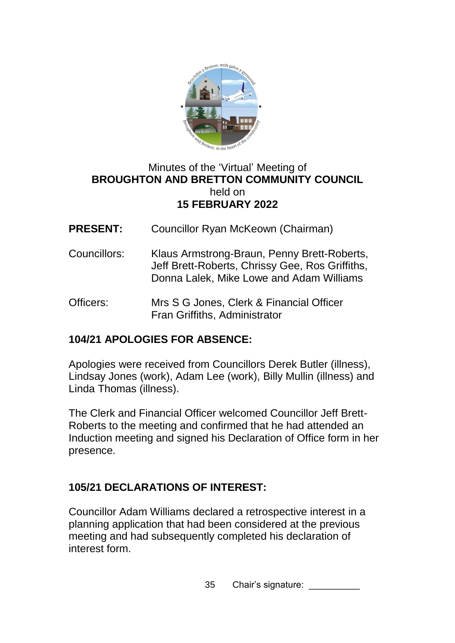

#### Minutes of the 'Virtual' Meeting of **BROUGHTON AND BRETTON COMMUNITY COUNCIL**  held on **15 FEBRUARY 2022**

- **PRESENT:** Councillor Ryan McKeown (Chairman)
- Councillors: Klaus Armstrong-Braun, Penny Brett-Roberts, Jeff Brett-Roberts, Chrissy Gee, Ros Griffiths, Donna Lalek, Mike Lowe and Adam Williams
- Officers: Mrs S G Jones, Clerk & Financial Officer Fran Griffiths, Administrator

# **104/21 APOLOGIES FOR ABSENCE:**

Apologies were received from Councillors Derek Butler (illness), Lindsay Jones (work), Adam Lee (work), Billy Mullin (illness) and Linda Thomas (illness).

The Clerk and Financial Officer welcomed Councillor Jeff Brett-Roberts to the meeting and confirmed that he had attended an Induction meeting and signed his Declaration of Office form in her presence.

# **105/21 DECLARATIONS OF INTEREST:**

Councillor Adam Williams declared a retrospective interest in a planning application that had been considered at the previous meeting and had subsequently completed his declaration of interest form.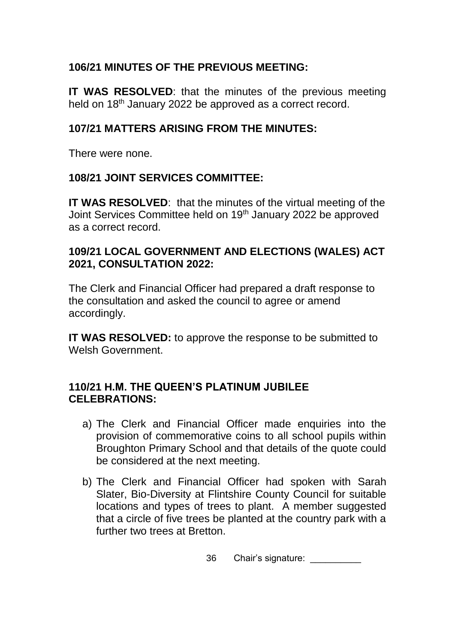## **106/21 MINUTES OF THE PREVIOUS MEETING:**

**IT WAS RESOLVED**: that the minutes of the previous meeting held on 18<sup>th</sup> January 2022 be approved as a correct record.

## **107/21 MATTERS ARISING FROM THE MINUTES:**

There were none.

## **108/21 JOINT SERVICES COMMITTEE:**

**IT WAS RESOLVED**: that the minutes of the virtual meeting of the Joint Services Committee held on 19th January 2022 be approved as a correct record.

#### **109/21 LOCAL GOVERNMENT AND ELECTIONS (WALES) ACT 2021, CONSULTATION 2022:**

The Clerk and Financial Officer had prepared a draft response to the consultation and asked the council to agree or amend accordingly.

**IT WAS RESOLVED:** to approve the response to be submitted to Welsh Government.

#### **110/21 H.M. THE QUEEN'S PLATINUM JUBILEE CELEBRATIONS:**

- a) The Clerk and Financial Officer made enquiries into the provision of commemorative coins to all school pupils within Broughton Primary School and that details of the quote could be considered at the next meeting.
- b) The Clerk and Financial Officer had spoken with Sarah Slater, Bio-Diversity at Flintshire County Council for suitable locations and types of trees to plant. A member suggested that a circle of five trees be planted at the country park with a further two trees at Bretton.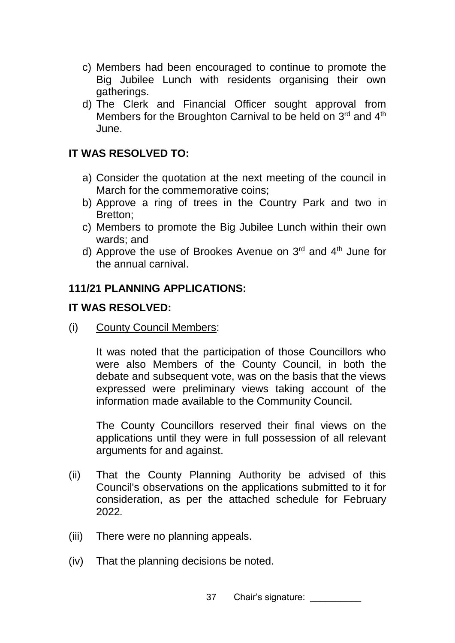- c) Members had been encouraged to continue to promote the Big Jubilee Lunch with residents organising their own gatherings.
- d) The Clerk and Financial Officer sought approval from Members for the Broughton Carnival to be held on  $3<sup>rd</sup>$  and  $4<sup>th</sup>$ June.

#### **IT WAS RESOLVED TO:**

- a) Consider the quotation at the next meeting of the council in March for the commemorative coins;
- b) Approve a ring of trees in the Country Park and two in Bretton;
- c) Members to promote the Big Jubilee Lunch within their own wards; and
- d) Approve the use of Brookes Avenue on 3<sup>rd</sup> and 4<sup>th</sup> June for the annual carnival.

#### **111/21 PLANNING APPLICATIONS:**

#### **IT WAS RESOLVED:**

(i) County Council Members:

It was noted that the participation of those Councillors who were also Members of the County Council, in both the debate and subsequent vote, was on the basis that the views expressed were preliminary views taking account of the information made available to the Community Council.

The County Councillors reserved their final views on the applications until they were in full possession of all relevant arguments for and against.

- (ii) That the County Planning Authority be advised of this Council's observations on the applications submitted to it for consideration, as per the attached schedule for February 2022*.*
- (iii) There were no planning appeals.
- (iv) That the planning decisions be noted.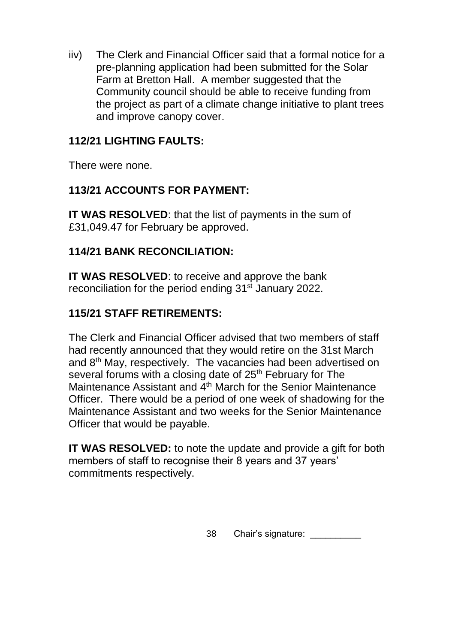iiv) The Clerk and Financial Officer said that a formal notice for a pre-planning application had been submitted for the Solar Farm at Bretton Hall. A member suggested that the Community council should be able to receive funding from the project as part of a climate change initiative to plant trees and improve canopy cover.

## **112/21 LIGHTING FAULTS:**

There were none.

## **113/21 ACCOUNTS FOR PAYMENT:**

**IT WAS RESOLVED**: that the list of payments in the sum of £31,049.47 for February be approved.

## **114/21 BANK RECONCILIATION:**

**IT WAS RESOLVED**: to receive and approve the bank reconciliation for the period ending 31<sup>st</sup> January 2022.

## **115/21 STAFF RETIREMENTS:**

The Clerk and Financial Officer advised that two members of staff had recently announced that they would retire on the 31st March and 8th May, respectively. The vacancies had been advertised on several forums with a closing date of 25<sup>th</sup> February for The Maintenance Assistant and 4<sup>th</sup> March for the Senior Maintenance Officer. There would be a period of one week of shadowing for the Maintenance Assistant and two weeks for the Senior Maintenance Officer that would be payable.

**IT WAS RESOLVED:** to note the update and provide a gift for both members of staff to recognise their 8 years and 37 years' commitments respectively.

38 Chair's signature: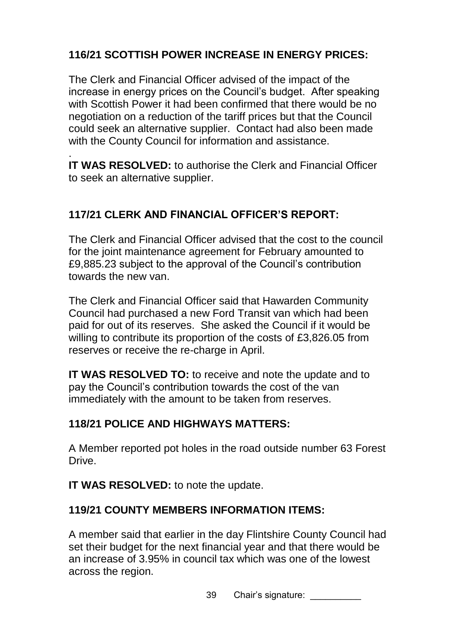# **116/21 SCOTTISH POWER INCREASE IN ENERGY PRICES:**

The Clerk and Financial Officer advised of the impact of the increase in energy prices on the Council's budget. After speaking with Scottish Power it had been confirmed that there would be no negotiation on a reduction of the tariff prices but that the Council could seek an alternative supplier. Contact had also been made with the County Council for information and assistance.

. **IT WAS RESOLVED:** to authorise the Clerk and Financial Officer to seek an alternative supplier.

# **117/21 CLERK AND FINANCIAL OFFICER'S REPORT:**

The Clerk and Financial Officer advised that the cost to the council for the joint maintenance agreement for February amounted to £9,885.23 subject to the approval of the Council's contribution towards the new van.

The Clerk and Financial Officer said that Hawarden Community Council had purchased a new Ford Transit van which had been paid for out of its reserves. She asked the Council if it would be willing to contribute its proportion of the costs of £3,826.05 from reserves or receive the re-charge in April.

**IT WAS RESOLVED TO:** to receive and note the update and to pay the Council's contribution towards the cost of the van immediately with the amount to be taken from reserves.

# **118/21 POLICE AND HIGHWAYS MATTERS:**

A Member reported pot holes in the road outside number 63 Forest Drive.

**IT WAS RESOLVED:** to note the update.

# **119/21 COUNTY MEMBERS INFORMATION ITEMS:**

A member said that earlier in the day Flintshire County Council had set their budget for the next financial year and that there would be an increase of 3.95% in council tax which was one of the lowest across the region.